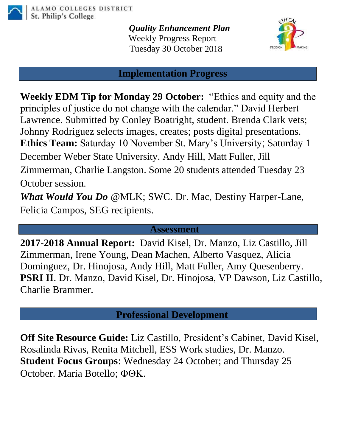

*Quality Enhancement Plan* Weekly Progress Report Tuesday 30 October 2018



## **Implementation Progress**

**Weekly EDM Tip for Monday 29 October:** "Ethics and equity and the principles of justice do not change with the calendar." David Herbert Lawrence. Submitted by Conley Boatright, student. Brenda Clark vets; Johnny Rodriguez selects images, creates; posts digital presentations. **Ethics Team:** Saturday 10 November St. Mary's University; Saturday 1 December Weber State University. Andy Hill, Matt Fuller, Jill Zimmerman, Charlie Langston. Some 20 students attended Tuesday 23 October session.

*What Would You Do* @MLK; SWC. Dr. Mac, Destiny Harper-Lane, Felicia Campos, SEG recipients.

## **Assessment**

**2017-2018 Annual Report:** David Kisel, Dr. Manzo, Liz Castillo, Jill Zimmerman, Irene Young, Dean Machen, Alberto Vasquez, Alicia Dominguez, Dr. Hinojosa, Andy Hill, Matt Fuller, Amy Quesenberry. **PSRI II**. Dr. Manzo, David Kisel, Dr. Hinojosa, VP Dawson, Liz Castillo, Charlie Brammer.

**Professional Development**

**Off Site Resource Guide:** Liz Castillo, President's Cabinet, David Kisel, Rosalinda Rivas, Renita Mitchell, ESS Work studies, Dr. Manzo. **Student Focus Groups**: Wednesday 24 October; and Thursday 25 October. Maria Botello;  $\Phi$ OK.